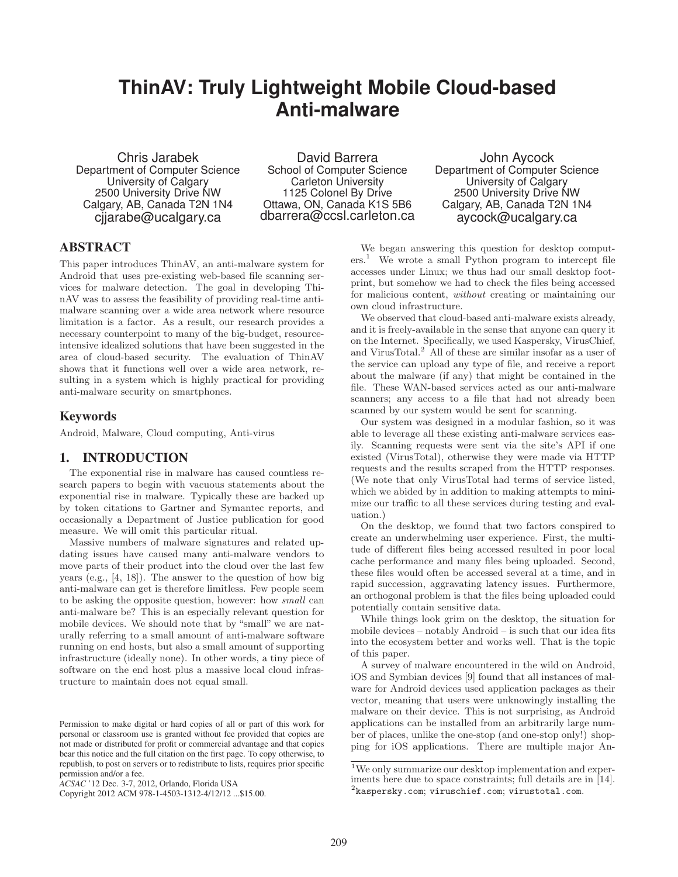# **ThinAV: Truly Lightweight Mobile Cloud-based Anti-malware**

Chris Jarabek Department of Computer Science University of Calgary 2500 University Drive NW Calgary, AB, Canada T2N 1N4 cjjarabe@ucalgary.ca

David Barrera School of Computer Science Carleton University 1125 Colonel By Drive Ottawa, ON, Canada K1S 5B6 dbarrera@ccsl.carleton.ca

John Aycock Department of Computer Science University of Calgary 2500 University Drive NW Calgary, AB, Canada T2N 1N4 aycock@ucalgary.ca

# ABSTRACT

This paper introduces ThinAV, an anti-malware system for Android that uses pre-existing web-based file scanning services for malware detection. The goal in developing ThinAV was to assess the feasibility of providing real-time antimalware scanning over a wide area network where resource limitation is a factor. As a result, our research provides a necessary counterpoint to many of the big-budget, resourceintensive idealized solutions that have been suggested in the area of cloud-based security. The evaluation of ThinAV shows that it functions well over a wide area network, resulting in a system which is highly practical for providing anti-malware security on smartphones.

# **Keywords**

Android, Malware, Cloud computing, Anti-virus

# 1. INTRODUCTION

The exponential rise in malware has caused countless research papers to begin with vacuous statements about the exponential rise in malware. Typically these are backed up by token citations to Gartner and Symantec reports, and occasionally a Department of Justice publication for good measure. We will omit this particular ritual.

Massive numbers of malware signatures and related updating issues have caused many anti-malware vendors to move parts of their product into the cloud over the last few years (e.g., [4, 18]). The answer to the question of how big anti-malware can get is therefore limitless. Few people seem to be asking the opposite question, however: how small can anti-malware be? This is an especially relevant question for mobile devices. We should note that by "small" we are naturally referring to a small amount of anti-malware software running on end hosts, but also a small amount of supporting infrastructure (ideally none). In other words, a tiny piece of software on the end host plus a massive local cloud infrastructure to maintain does not equal small.

We began answering this question for desktop comput $ers.<sup>1</sup>$  We wrote a small Python program to intercept file accesses under Linux; we thus had our small desktop footprint, but somehow we had to check the files being accessed for malicious content, without creating or maintaining our own cloud infrastructure.

We observed that cloud-based anti-malware exists already, and it is freely-available in the sense that anyone can query it on the Internet. Specifically, we used Kaspersky, VirusChief, and VirusTotal.<sup>2</sup> All of these are similar insofar as a user of the service can upload any type of file, and receive a report about the malware (if any) that might be contained in the file. These WAN-based services acted as our anti-malware scanners; any access to a file that had not already been scanned by our system would be sent for scanning.

Our system was designed in a modular fashion, so it was able to leverage all these existing anti-malware services easily. Scanning requests were sent via the site's API if one existed (VirusTotal), otherwise they were made via HTTP requests and the results scraped from the HTTP responses. (We note that only VirusTotal had terms of service listed, which we abided by in addition to making attempts to minimize our traffic to all these services during testing and evaluation.)

On the desktop, we found that two factors conspired to create an underwhelming user experience. First, the multitude of different files being accessed resulted in poor local cache performance and many files being uploaded. Second, these files would often be accessed several at a time, and in rapid succession, aggravating latency issues. Furthermore, an orthogonal problem is that the files being uploaded could potentially contain sensitive data.

While things look grim on the desktop, the situation for mobile devices – notably Android – is such that our idea fits into the ecosystem better and works well. That is the topic of this paper.

A survey of malware encountered in the wild on Android, iOS and Symbian devices [9] found that all instances of malware for Android devices used application packages as their vector, meaning that users were unknowingly installing the malware on their device. This is not surprising, as Android applications can be installed from an arbitrarily large number of places, unlike the one-stop (and one-stop only!) shopping for iOS applications. There are multiple major An-

Permission to make digital or hard copies of all or part of this work for personal or classroom use is granted without fee provided that copies are not made or distributed for profit or commercial advantage and that copies bear this notice and the full citation on the first page. To copy otherwise, to republish, to post on servers or to redistribute to lists, requires prior specific permission and/or a fee.

*ACSAC* '12 Dec. 3-7, 2012, Orlando, Florida USA

Copyright 2012 ACM 978-1-4503-1312-4/12/12 ...\$15.00.

<sup>&</sup>lt;sup>1</sup>We only summarize our desktop implementation and experiments here due to space constraints; full details are in [14].  $2$ kaspersky.com; viruschief.com; virustotal.com.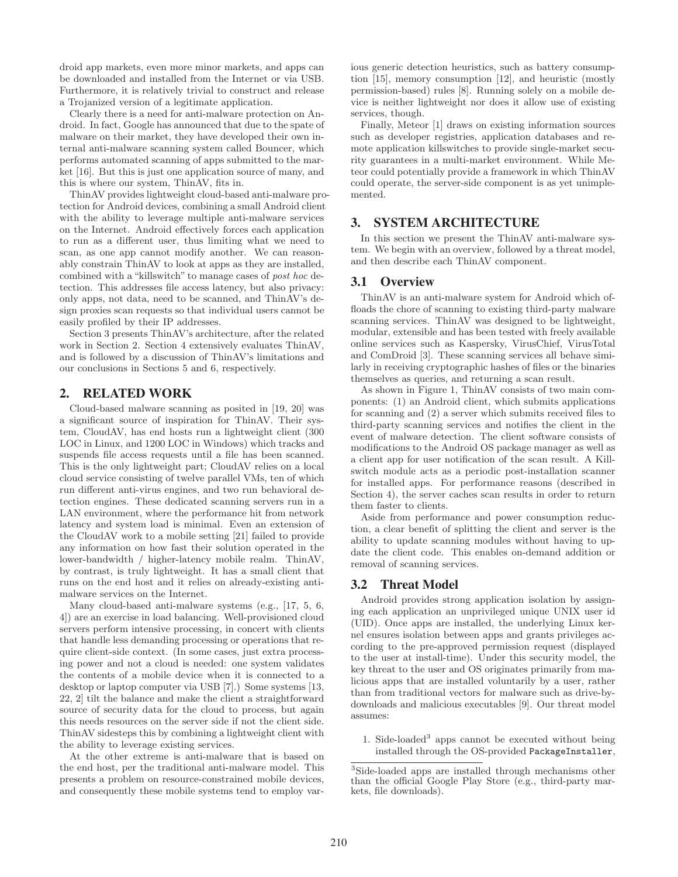droid app markets, even more minor markets, and apps can be downloaded and installed from the Internet or via USB. Furthermore, it is relatively trivial to construct and release a Trojanized version of a legitimate application.

Clearly there is a need for anti-malware protection on Android. In fact, Google has announced that due to the spate of malware on their market, they have developed their own internal anti-malware scanning system called Bouncer, which performs automated scanning of apps submitted to the market [16]. But this is just one application source of many, and this is where our system, ThinAV, fits in.

ThinAV provides lightweight cloud-based anti-malware protection for Android devices, combining a small Android client with the ability to leverage multiple anti-malware services on the Internet. Android effectively forces each application to run as a different user, thus limiting what we need to scan, as one app cannot modify another. We can reasonably constrain ThinAV to look at apps as they are installed, combined with a "killswitch" to manage cases of post hoc detection. This addresses file access latency, but also privacy: only apps, not data, need to be scanned, and ThinAV's design proxies scan requests so that individual users cannot be easily profiled by their IP addresses.

Section 3 presents ThinAV's architecture, after the related work in Section 2. Section 4 extensively evaluates ThinAV, and is followed by a discussion of ThinAV's limitations and our conclusions in Sections 5 and 6, respectively.

# 2. RELATED WORK

Cloud-based malware scanning as posited in [19, 20] was a significant source of inspiration for ThinAV. Their system, CloudAV, has end hosts run a lightweight client (300 LOC in Linux, and 1200 LOC in Windows) which tracks and suspends file access requests until a file has been scanned. This is the only lightweight part; CloudAV relies on a local cloud service consisting of twelve parallel VMs, ten of which run different anti-virus engines, and two run behavioral detection engines. These dedicated scanning servers run in a LAN environment, where the performance hit from network latency and system load is minimal. Even an extension of the CloudAV work to a mobile setting [21] failed to provide any information on how fast their solution operated in the lower-bandwidth / higher-latency mobile realm. ThinAV, by contrast, is truly lightweight. It has a small client that runs on the end host and it relies on already-existing antimalware services on the Internet.

Many cloud-based anti-malware systems (e.g., [17, 5, 6, 4]) are an exercise in load balancing. Well-provisioned cloud servers perform intensive processing, in concert with clients that handle less demanding processing or operations that require client-side context. (In some cases, just extra processing power and not a cloud is needed: one system validates the contents of a mobile device when it is connected to a desktop or laptop computer via USB [7].) Some systems [13, 22, 2] tilt the balance and make the client a straightforward source of security data for the cloud to process, but again this needs resources on the server side if not the client side. ThinAV sidesteps this by combining a lightweight client with the ability to leverage existing services.

At the other extreme is anti-malware that is based on the end host, per the traditional anti-malware model. This presents a problem on resource-constrained mobile devices, and consequently these mobile systems tend to employ various generic detection heuristics, such as battery consumption [15], memory consumption [12], and heuristic (mostly permission-based) rules [8]. Running solely on a mobile device is neither lightweight nor does it allow use of existing services, though.

Finally, Meteor [1] draws on existing information sources such as developer registries, application databases and remote application killswitches to provide single-market security guarantees in a multi-market environment. While Meteor could potentially provide a framework in which ThinAV could operate, the server-side component is as yet unimplemented.

# 3. SYSTEM ARCHITECTURE

In this section we present the ThinAV anti-malware system. We begin with an overview, followed by a threat model, and then describe each ThinAV component.

## 3.1 Overview

ThinAV is an anti-malware system for Android which offloads the chore of scanning to existing third-party malware scanning services. ThinAV was designed to be lightweight, modular, extensible and has been tested with freely available online services such as Kaspersky, VirusChief, VirusTotal and ComDroid [3]. These scanning services all behave similarly in receiving cryptographic hashes of files or the binaries themselves as queries, and returning a scan result.

As shown in Figure 1, ThinAV consists of two main components: (1) an Android client, which submits applications for scanning and (2) a server which submits received files to third-party scanning services and notifies the client in the event of malware detection. The client software consists of modifications to the Android OS package manager as well as a client app for user notification of the scan result. A Killswitch module acts as a periodic post-installation scanner for installed apps. For performance reasons (described in Section 4), the server caches scan results in order to return them faster to clients.

Aside from performance and power consumption reduction, a clear benefit of splitting the client and server is the ability to update scanning modules without having to update the client code. This enables on-demand addition or removal of scanning services.

# 3.2 Threat Model

Android provides strong application isolation by assigning each application an unprivileged unique UNIX user id (UID). Once apps are installed, the underlying Linux kernel ensures isolation between apps and grants privileges according to the pre-approved permission request (displayed to the user at install-time). Under this security model, the key threat to the user and OS originates primarily from malicious apps that are installed voluntarily by a user, rather than from traditional vectors for malware such as drive-bydownloads and malicious executables [9]. Our threat model assumes:

1. Side-loaded<sup>3</sup> apps cannot be executed without being installed through the OS-provided PackageInstaller,

<sup>3</sup>Side-loaded apps are installed through mechanisms other than the official Google Play Store (e.g., third-party markets, file downloads).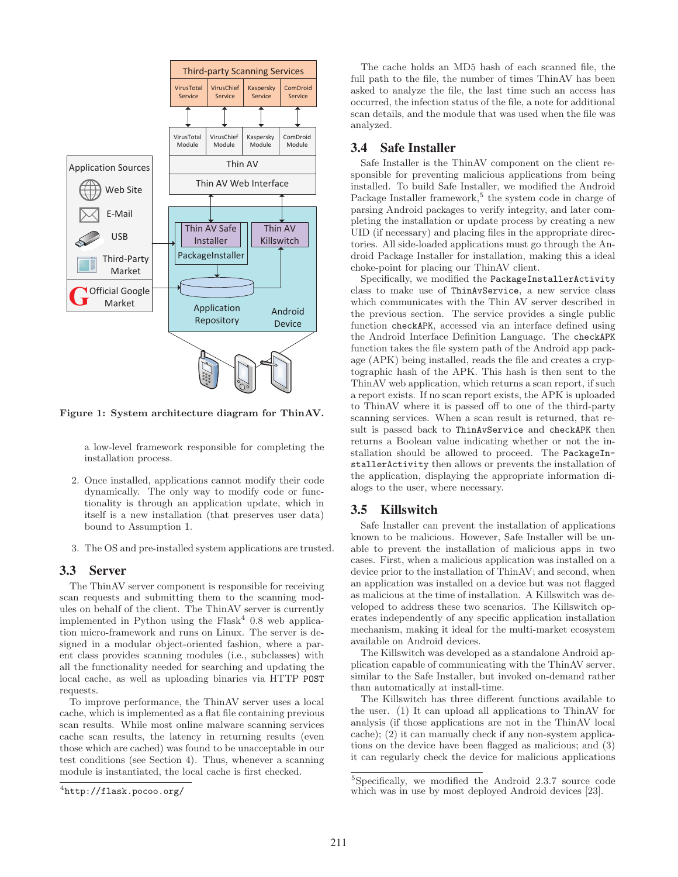

**Figure 1: System architecture diagram for ThinAV.**

a low-level framework responsible for completing the installation process.

- 2. Once installed, applications cannot modify their code dynamically. The only way to modify code or functionality is through an application update, which in itself is a new installation (that preserves user data) bound to Assumption 1.
- 3. The OS and pre-installed system applications are trusted.

# 3.3 Server

The ThinAV server component is responsible for receiving scan requests and submitting them to the scanning modules on behalf of the client. The ThinAV server is currently implemented in Python using the  $Flask<sup>4</sup>$  0.8 web application micro-framework and runs on Linux. The server is designed in a modular object-oriented fashion, where a parent class provides scanning modules (i.e., subclasses) with all the functionality needed for searching and updating the local cache, as well as uploading binaries via HTTP POST requests.

To improve performance, the ThinAV server uses a local cache, which is implemented as a flat file containing previous scan results. While most online malware scanning services cache scan results, the latency in returning results (even those which are cached) was found to be unacceptable in our test conditions (see Section 4). Thus, whenever a scanning module is instantiated, the local cache is first checked.

The cache holds an MD5 hash of each scanned file, the full path to the file, the number of times ThinAV has been asked to analyze the file, the last time such an access has occurred, the infection status of the file, a note for additional scan details, and the module that was used when the file was analyzed.

## 3.4 Safe Installer

Safe Installer is the ThinAV component on the client responsible for preventing malicious applications from being installed. To build Safe Installer, we modified the Android Package Installer framework,<sup>5</sup> the system code in charge of parsing Android packages to verify integrity, and later completing the installation or update process by creating a new UID (if necessary) and placing files in the appropriate directories. All side-loaded applications must go through the Android Package Installer for installation, making this a ideal choke-point for placing our ThinAV client.

Specifically, we modified the PackageInstallerActivity class to make use of ThinAvService, a new service class which communicates with the Thin AV server described in the previous section. The service provides a single public function checkAPK, accessed via an interface defined using the Android Interface Definition Language. The checkAPK function takes the file system path of the Android app package (APK) being installed, reads the file and creates a cryptographic hash of the APK. This hash is then sent to the ThinAV web application, which returns a scan report, if such a report exists. If no scan report exists, the APK is uploaded to ThinAV where it is passed off to one of the third-party scanning services. When a scan result is returned, that result is passed back to ThinAvService and checkAPK then returns a Boolean value indicating whether or not the installation should be allowed to proceed. The PackageInstallerActivity then allows or prevents the installation of the application, displaying the appropriate information dialogs to the user, where necessary.

# 3.5 Killswitch

Safe Installer can prevent the installation of applications known to be malicious. However, Safe Installer will be unable to prevent the installation of malicious apps in two cases. First, when a malicious application was installed on a device prior to the installation of ThinAV; and second, when an application was installed on a device but was not flagged as malicious at the time of installation. A Killswitch was developed to address these two scenarios. The Killswitch operates independently of any specific application installation mechanism, making it ideal for the multi-market ecosystem available on Android devices.

The Killswitch was developed as a standalone Android application capable of communicating with the ThinAV server, similar to the Safe Installer, but invoked on-demand rather than automatically at install-time.

The Killswitch has three different functions available to the user. (1) It can upload all applications to ThinAV for analysis (if those applications are not in the ThinAV local cache); (2) it can manually check if any non-system applications on the device have been flagged as malicious; and (3) it can regularly check the device for malicious applications

<sup>4</sup>http://flask.pocoo.org/

<sup>5</sup>Specifically, we modified the Android 2.3.7 source code which was in use by most deployed Android devices [23].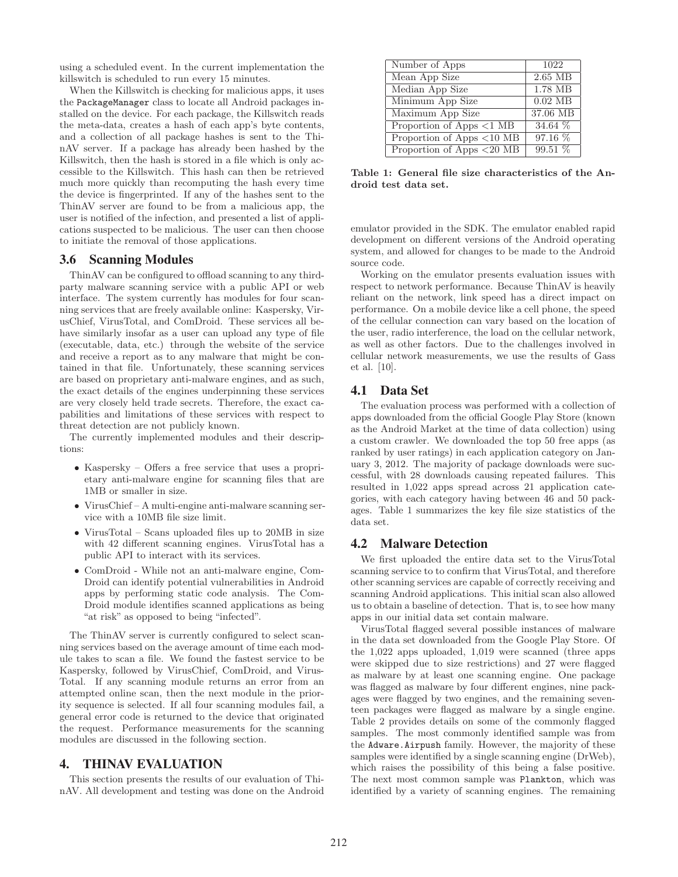using a scheduled event. In the current implementation the killswitch is scheduled to run every 15 minutes.

When the Killswitch is checking for malicious apps, it uses the PackageManager class to locate all Android packages installed on the device. For each package, the Killswitch reads the meta-data, creates a hash of each app's byte contents, and a collection of all package hashes is sent to the ThinAV server. If a package has already been hashed by the Killswitch, then the hash is stored in a file which is only accessible to the Killswitch. This hash can then be retrieved much more quickly than recomputing the hash every time the device is fingerprinted. If any of the hashes sent to the ThinAV server are found to be from a malicious app, the user is notified of the infection, and presented a list of applications suspected to be malicious. The user can then choose to initiate the removal of those applications.

## 3.6 Scanning Modules

ThinAV can be configured to offload scanning to any thirdparty malware scanning service with a public API or web interface. The system currently has modules for four scanning services that are freely available online: Kaspersky, VirusChief, VirusTotal, and ComDroid. These services all behave similarly insofar as a user can upload any type of file (executable, data, etc.) through the website of the service and receive a report as to any malware that might be contained in that file. Unfortunately, these scanning services are based on proprietary anti-malware engines, and as such, the exact details of the engines underpinning these services are very closely held trade secrets. Therefore, the exact capabilities and limitations of these services with respect to threat detection are not publicly known.

The currently implemented modules and their descriptions:

- Kaspersky Offers a free service that uses a proprietary anti-malware engine for scanning files that are 1MB or smaller in size.
- VirusChief A multi-engine anti-malware scanning service with a 10MB file size limit.
- VirusTotal Scans uploaded files up to 20MB in size with 42 different scanning engines. VirusTotal has a public API to interact with its services.
- ComDroid While not an anti-malware engine, Com-Droid can identify potential vulnerabilities in Android apps by performing static code analysis. The Com-Droid module identifies scanned applications as being "at risk" as opposed to being "infected".

The ThinAV server is currently configured to select scanning services based on the average amount of time each module takes to scan a file. We found the fastest service to be Kaspersky, followed by VirusChief, ComDroid, and Virus-Total. If any scanning module returns an error from an attempted online scan, then the next module in the priority sequence is selected. If all four scanning modules fail, a general error code is returned to the device that originated the request. Performance measurements for the scanning modules are discussed in the following section.

# 4. THINAV EVALUATION

This section presents the results of our evaluation of ThinAV. All development and testing was done on the Android

| Number of Apps            | 1022      |
|---------------------------|-----------|
| Mean App Size             | 2.65 MB   |
| Median App Size           | 1.78 MB   |
| Minimum App Size          | $0.02$ MB |
| Maximum App Size          | 37.06 MB  |
| Proportion of Apps <1 MB  | 34.64%    |
| Proportion of Apps <10 MB | 97.16 %   |
| Proportion of Apps <20 MB | $99.51\%$ |
|                           |           |

**Table 1: General file size characteristics of the Android test data set.**

emulator provided in the SDK. The emulator enabled rapid development on different versions of the Android operating system, and allowed for changes to be made to the Android source code.

Working on the emulator presents evaluation issues with respect to network performance. Because ThinAV is heavily reliant on the network, link speed has a direct impact on performance. On a mobile device like a cell phone, the speed of the cellular connection can vary based on the location of the user, radio interference, the load on the cellular network, as well as other factors. Due to the challenges involved in cellular network measurements, we use the results of Gass et al. [10].

# 4.1 Data Set

The evaluation process was performed with a collection of apps downloaded from the official Google Play Store (known as the Android Market at the time of data collection) using a custom crawler. We downloaded the top 50 free apps (as ranked by user ratings) in each application category on January 3, 2012. The majority of package downloads were successful, with 28 downloads causing repeated failures. This resulted in 1,022 apps spread across 21 application categories, with each category having between 46 and 50 packages. Table 1 summarizes the key file size statistics of the data set.

## 4.2 Malware Detection

We first uploaded the entire data set to the VirusTotal scanning service to to confirm that VirusTotal, and therefore other scanning services are capable of correctly receiving and scanning Android applications. This initial scan also allowed us to obtain a baseline of detection. That is, to see how many apps in our initial data set contain malware.

VirusTotal flagged several possible instances of malware in the data set downloaded from the Google Play Store. Of the 1,022 apps uploaded, 1,019 were scanned (three apps were skipped due to size restrictions) and 27 were flagged as malware by at least one scanning engine. One package was flagged as malware by four different engines, nine packages were flagged by two engines, and the remaining seventeen packages were flagged as malware by a single engine. Table 2 provides details on some of the commonly flagged samples. The most commonly identified sample was from the Adware.Airpush family. However, the majority of these samples were identified by a single scanning engine (DrWeb), which raises the possibility of this being a false positive. The next most common sample was Plankton, which was identified by a variety of scanning engines. The remaining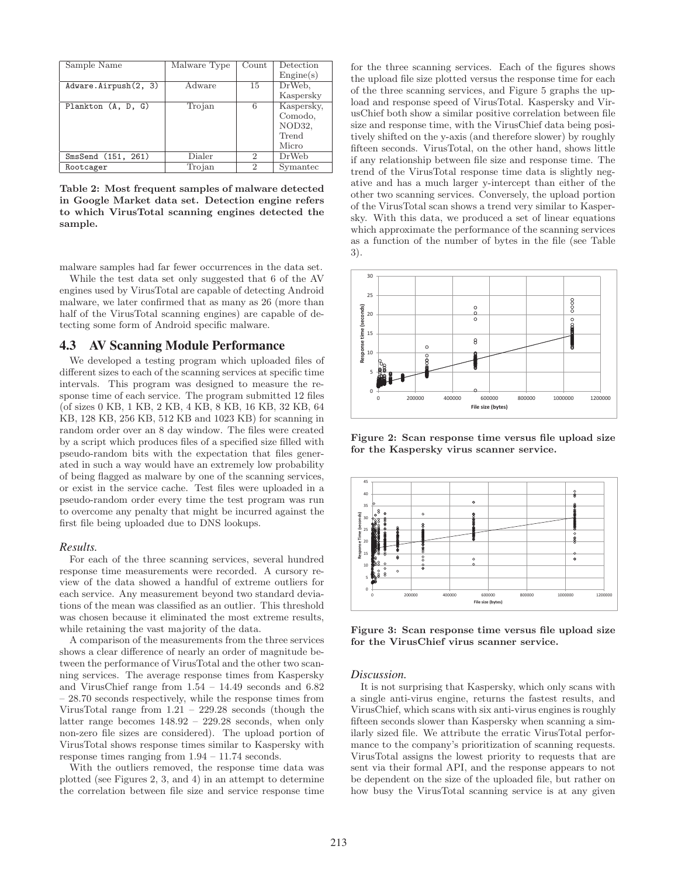| Sample Name          | Malware Type | Count           | Detection      |
|----------------------|--------------|-----------------|----------------|
|                      |              |                 | Engineering(s) |
| Adware.Airpush(2, 3) | Adware       | 15 <sub>2</sub> | DrWeb,         |
|                      |              |                 | Kaspersky      |
| Plankton (A, D, G)   | Trojan       | 6               | Kaspersky,     |
|                      |              |                 | Comodo,        |
|                      |              |                 | NOD32.         |
|                      |              |                 | Trend          |
|                      |              |                 | Micro          |
| SmsSend (151, 261)   | Dialer       | 2               | DrWeb          |
| Rootcager            | Trojan       | 2               | Symantec       |

**Table 2: Most frequent samples of malware detected in Google Market data set. Detection engine refers to which VirusTotal scanning engines detected the sample.**

malware samples had far fewer occurrences in the data set.

While the test data set only suggested that 6 of the AV engines used by VirusTotal are capable of detecting Android malware, we later confirmed that as many as 26 (more than half of the VirusTotal scanning engines) are capable of detecting some form of Android specific malware.

# 4.3 AV Scanning Module Performance

We developed a testing program which uploaded files of different sizes to each of the scanning services at specific time intervals. This program was designed to measure the response time of each service. The program submitted 12 files (of sizes 0 KB, 1 KB, 2 KB, 4 KB, 8 KB, 16 KB, 32 KB, 64 KB, 128 KB, 256 KB, 512 KB and 1023 KB) for scanning in random order over an 8 day window. The files were created by a script which produces files of a specified size filled with pseudo-random bits with the expectation that files generated in such a way would have an extremely low probability of being flagged as malware by one of the scanning services, or exist in the service cache. Test files were uploaded in a pseudo-random order every time the test program was run to overcome any penalty that might be incurred against the first file being uploaded due to DNS lookups.

#### *Results.*

For each of the three scanning services, several hundred response time measurements were recorded. A cursory review of the data showed a handful of extreme outliers for each service. Any measurement beyond two standard deviations of the mean was classified as an outlier. This threshold was chosen because it eliminated the most extreme results, while retaining the vast majority of the data.

A comparison of the measurements from the three services shows a clear difference of nearly an order of magnitude between the performance of VirusTotal and the other two scanning services. The average response times from Kaspersky and VirusChief range from 1.54 – 14.49 seconds and 6.82 – 28.70 seconds respectively, while the response times from VirusTotal range from  $1.21 - 229.28$  seconds (though the latter range becomes 148.92 – 229.28 seconds, when only non-zero file sizes are considered). The upload portion of VirusTotal shows response times similar to Kaspersky with response times ranging from 1.94 – 11.74 seconds.

With the outliers removed, the response time data was plotted (see Figures 2, 3, and 4) in an attempt to determine the correlation between file size and service response time

for the three scanning services. Each of the figures shows the upload file size plotted versus the response time for each of the three scanning services, and Figure 5 graphs the upload and response speed of VirusTotal. Kaspersky and VirusChief both show a similar positive correlation between file size and response time, with the VirusChief data being positively shifted on the y-axis (and therefore slower) by roughly fifteen seconds. VirusTotal, on the other hand, shows little if any relationship between file size and response time. The trend of the VirusTotal response time data is slightly negative and has a much larger y-intercept than either of the other two scanning services. Conversely, the upload portion of the VirusTotal scan shows a trend very similar to Kaspersky. With this data, we produced a set of linear equations which approximate the performance of the scanning services as a function of the number of bytes in the file (see Table 3).



**Figure 2: Scan response time versus file upload size for the Kaspersky virus scanner service.**



**Figure 3: Scan response time versus file upload size for the VirusChief virus scanner service.**

#### *Discussion.*

It is not surprising that Kaspersky, which only scans with a single anti-virus engine, returns the fastest results, and VirusChief, which scans with six anti-virus engines is roughly fifteen seconds slower than Kaspersky when scanning a similarly sized file. We attribute the erratic VirusTotal performance to the company's prioritization of scanning requests. VirusTotal assigns the lowest priority to requests that are sent via their formal API, and the response appears to not be dependent on the size of the uploaded file, but rather on how busy the VirusTotal scanning service is at any given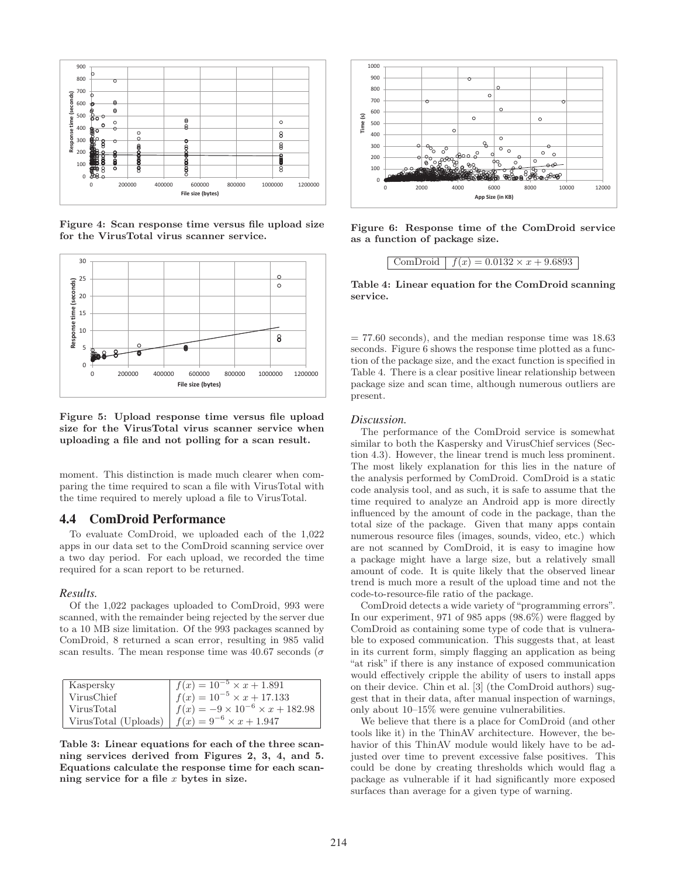

**Figure 4: Scan response time versus file upload size for the VirusTotal virus scanner service.**



**Figure 5: Upload response time versus file upload size for the VirusTotal virus scanner service when uploading a file and not polling for a scan result.**

moment. This distinction is made much clearer when comparing the time required to scan a file with VirusTotal with the time required to merely upload a file to VirusTotal.

# 4.4 ComDroid Performance

To evaluate ComDroid, we uploaded each of the 1,022 apps in our data set to the ComDroid scanning service over a two day period. For each upload, we recorded the time required for a scan report to be returned.

#### *Results.*

Of the 1,022 packages uploaded to ComDroid, 993 were scanned, with the remainder being rejected by the server due to a 10 MB size limitation. Of the 993 packages scanned by ComDroid, 8 returned a scan error, resulting in 985 valid scan results. The mean response time was 40.67 seconds ( $\sigma$ )

| <b>Kaspersky</b> | $f(x) = 10^{-5} \times x + 1.891$                                                                                     |
|------------------|-----------------------------------------------------------------------------------------------------------------------|
| VirusChief       | $f(x) = 10^{-5} \times x + 17.133$                                                                                    |
|                  | VirusTotal $\int f(x) = -9 \times 10^{-6} \times x + 182.98$<br>VirusTotal (Uploads) $f(x) = 9^{-6} \times x + 1.947$ |
|                  |                                                                                                                       |

**Table 3: Linear equations for each of the three scanning services derived from Figures 2, 3, 4, and 5. Equations calculate the response time for each scanning service for a file** x **bytes in size.**



**Figure 6: Response time of the ComDroid service as a function of package size.**

| ComDroid $f(x) = 0.0132 \times x + 9.6893$ |
|--------------------------------------------|
|--------------------------------------------|

**Table 4: Linear equation for the ComDroid scanning service.**

 $= 77.60$  seconds), and the median response time was  $18.63$ seconds. Figure 6 shows the response time plotted as a function of the package size, and the exact function is specified in Table 4. There is a clear positive linear relationship between package size and scan time, although numerous outliers are present.

#### *Discussion.*

The performance of the ComDroid service is somewhat similar to both the Kaspersky and VirusChief services (Section 4.3). However, the linear trend is much less prominent. The most likely explanation for this lies in the nature of the analysis performed by ComDroid. ComDroid is a static code analysis tool, and as such, it is safe to assume that the time required to analyze an Android app is more directly influenced by the amount of code in the package, than the total size of the package. Given that many apps contain numerous resource files (images, sounds, video, etc.) which are not scanned by ComDroid, it is easy to imagine how a package might have a large size, but a relatively small amount of code. It is quite likely that the observed linear trend is much more a result of the upload time and not the code-to-resource-file ratio of the package.

ComDroid detects a wide variety of "programming errors". In our experiment, 971 of 985 apps (98.6%) were flagged by ComDroid as containing some type of code that is vulnerable to exposed communication. This suggests that, at least in its current form, simply flagging an application as being "at risk" if there is any instance of exposed communication would effectively cripple the ability of users to install apps on their device. Chin et al. [3] (the ComDroid authors) suggest that in their data, after manual inspection of warnings, only about 10–15% were genuine vulnerabilities.

We believe that there is a place for ComDroid (and other tools like it) in the ThinAV architecture. However, the behavior of this ThinAV module would likely have to be adjusted over time to prevent excessive false positives. This could be done by creating thresholds which would flag a package as vulnerable if it had significantly more exposed surfaces than average for a given type of warning.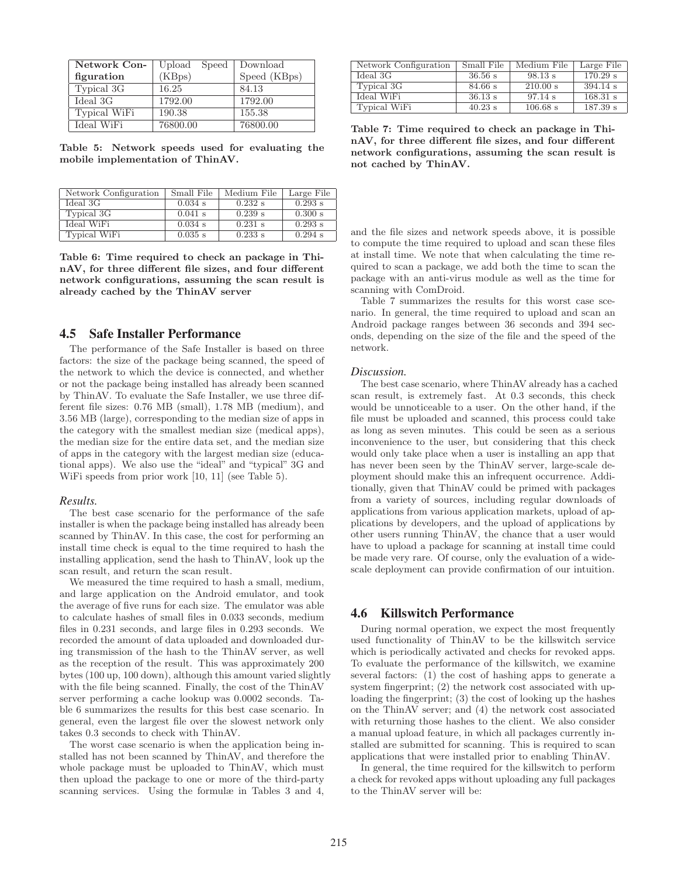| Network Con- | Upload<br>Speed | Download     |
|--------------|-----------------|--------------|
| figuration   | (KBps)          | Speed (KBps) |
| Typical 3G   | 16.25           | 84.13        |
| Ideal 3G     | 1792.00         | 1792.00      |
| Typical WiFi | 190.38          | 155.38       |
| Ideal WiFi   | 76800.00        | 76800.00     |

**Table 5: Network speeds used for evaluating the mobile implementation of ThinAV.**

| Network Configuration | Small File | Medium File | Large File |
|-----------------------|------------|-------------|------------|
| Ideal 3G              | $0.034$ s  | $0.232$ s   | 0.293 s    |
| Typical 3G            | $0.041$ s  | $0.239$ s   | 0.300 s    |
| Ideal WiFi            | $0.034$ s  | $0.231$ s   | $0.293$ s  |
| Typical WiFi          | $0.035$ s  | $0.233$ s   | $0.294$ s  |

**Table 6: Time required to check an package in ThinAV, for three different file sizes, and four different network configurations, assuming the scan result is already cached by the ThinAV server**

# 4.5 Safe Installer Performance

The performance of the Safe Installer is based on three factors: the size of the package being scanned, the speed of the network to which the device is connected, and whether or not the package being installed has already been scanned by ThinAV. To evaluate the Safe Installer, we use three different file sizes: 0.76 MB (small), 1.78 MB (medium), and 3.56 MB (large), corresponding to the median size of apps in the category with the smallest median size (medical apps), the median size for the entire data set, and the median size of apps in the category with the largest median size (educational apps). We also use the "ideal" and "typical" 3G and WiFi speeds from prior work [10, 11] (see Table 5).

## *Results.*

The best case scenario for the performance of the safe installer is when the package being installed has already been scanned by ThinAV. In this case, the cost for performing an install time check is equal to the time required to hash the installing application, send the hash to ThinAV, look up the scan result, and return the scan result.

We measured the time required to hash a small, medium, and large application on the Android emulator, and took the average of five runs for each size. The emulator was able to calculate hashes of small files in 0.033 seconds, medium files in 0.231 seconds, and large files in 0.293 seconds. We recorded the amount of data uploaded and downloaded during transmission of the hash to the ThinAV server, as well as the reception of the result. This was approximately 200 bytes (100 up, 100 down), although this amount varied slightly with the file being scanned. Finally, the cost of the ThinAV server performing a cache lookup was 0.0002 seconds. Table 6 summarizes the results for this best case scenario. In general, even the largest file over the slowest network only takes 0.3 seconds to check with ThinAV.

The worst case scenario is when the application being installed has not been scanned by ThinAV, and therefore the whole package must be uploaded to ThinAV, which must then upload the package to one or more of the third-party scanning services. Using the formulæ in Tables 3 and 4,

| Network Configuration | Small File | Medium File       | Large File |
|-----------------------|------------|-------------------|------------|
| Ideal 3G              | $36.56$ s  | $98.13$ s         | 170.29 s   |
| Typical 3G            | 84.66 s    | 210.00 s          | 394.14 s   |
| Ideal WiFi            | $36.13$ s  | $97.14 \text{ s}$ | 168.31 s   |
| Typical WiFi          | $40.23$ s  | $106.68$ s        | 187.39 s   |

**Table 7: Time required to check an package in ThinAV, for three different file sizes, and four different network configurations, assuming the scan result is not cached by ThinAV.**

and the file sizes and network speeds above, it is possible to compute the time required to upload and scan these files at install time. We note that when calculating the time required to scan a package, we add both the time to scan the package with an anti-virus module as well as the time for scanning with ComDroid.

Table 7 summarizes the results for this worst case scenario. In general, the time required to upload and scan an Android package ranges between 36 seconds and 394 seconds, depending on the size of the file and the speed of the network.

#### *Discussion.*

The best case scenario, where ThinAV already has a cached scan result, is extremely fast. At 0.3 seconds, this check would be unnoticeable to a user. On the other hand, if the file must be uploaded and scanned, this process could take as long as seven minutes. This could be seen as a serious inconvenience to the user, but considering that this check would only take place when a user is installing an app that has never been seen by the ThinAV server, large-scale deployment should make this an infrequent occurrence. Additionally, given that ThinAV could be primed with packages from a variety of sources, including regular downloads of applications from various application markets, upload of applications by developers, and the upload of applications by other users running ThinAV, the chance that a user would have to upload a package for scanning at install time could be made very rare. Of course, only the evaluation of a widescale deployment can provide confirmation of our intuition.

## 4.6 Killswitch Performance

During normal operation, we expect the most frequently used functionality of ThinAV to be the killswitch service which is periodically activated and checks for revoked apps. To evaluate the performance of the killswitch, we examine several factors: (1) the cost of hashing apps to generate a system fingerprint; (2) the network cost associated with uploading the fingerprint; (3) the cost of looking up the hashes on the ThinAV server; and (4) the network cost associated with returning those hashes to the client. We also consider a manual upload feature, in which all packages currently installed are submitted for scanning. This is required to scan applications that were installed prior to enabling ThinAV.

In general, the time required for the killswitch to perform a check for revoked apps without uploading any full packages to the ThinAV server will be: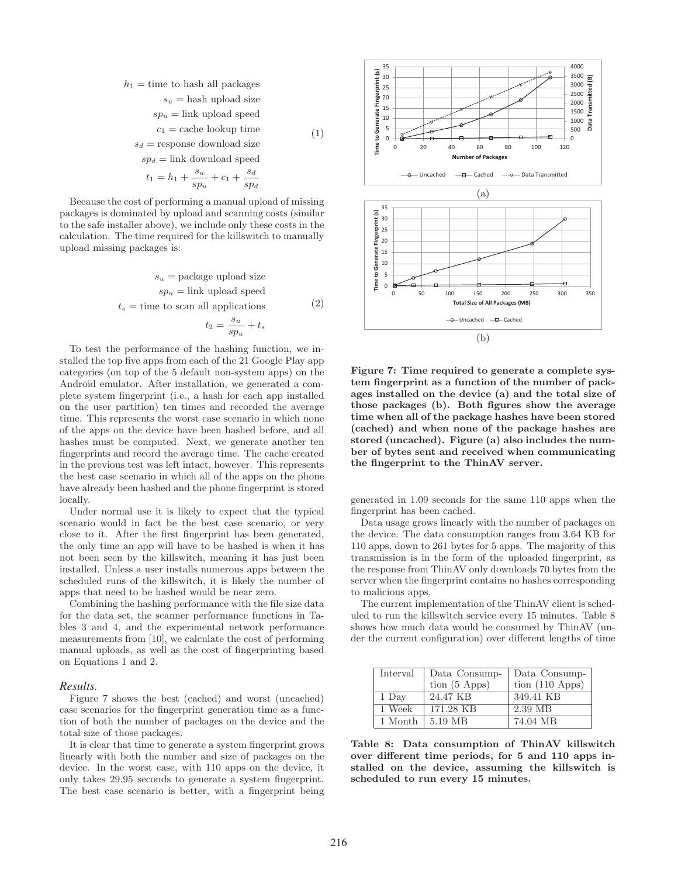$$
h_1 = \text{time to hash all packages}
$$
  
\n
$$
s_u = \text{hash upload size}
$$
  
\n
$$
sp_u = \text{link upload speed}
$$
  
\n
$$
c_1 = \text{cache lookup time}
$$
  
\n
$$
s_d = \text{response download size}
$$
  
\n
$$
sp_d = \text{link download speed}
$$
  
\n(1)

$$
t_1 = h_1 + \frac{s_u}{sp_u} + c_1 + \frac{s_d}{sp_d}
$$

Because the cost of performing a manual upload of missing packages is dominated by upload and scanning costs (similar to the safe installer above), we include only these costs in the calculation. The time required for the killswitch to manually upload missing packages is:

> $s_u$  = package upload size  $sp_u =$ link upload speed  $t_s$  = time to scan all applications (2)

$$
t_2 = \frac{s_u}{sp_u} + t_s
$$

To test the performance of the hashing function, we installed the top five apps from each of the 21 Google Play app categories (on top of the 5 default non-system apps) on the Android emulator. After installation, we generated a complete system fingerprint (i.e., a hash for each app installed on the user partition) ten times and recorded the average time. This represents the worst case scenario in which none of the apps on the device have been hashed before, and all hashes must be computed. Next, we generate another ten fingerprints and record the average time. The cache created in the previous test was left intact, however. This represents the best case scenario in which all of the apps on the phone have already been hashed and the phone fingerprint is stored locally.

Under normal use it is likely to expect that the typical scenario would in fact be the best case scenario, or very close to it. After the first fingerprint has been generated, the only time an app will have to be hashed is when it has not been seen by the killswitch, meaning it has just been installed. Unless a user installs numerous apps between the scheduled runs of the killswitch, it is likely the number of apps that need to be hashed would be near zero.

Combining the hashing performance with the file size data for the data set, the scanner performance functions in Tables 3 and 4, and the experimental network performance measurements from [10], we calculate the cost of performing manual uploads, as well as the cost of fingerprinting based on Equations 1 and 2.

#### *Results.*

Figure 7 shows the best (cached) and worst (uncached) case scenarios for the fingerprint generation time as a function of both the number of packages on the device and the total size of those packages.

It is clear that time to generate a system fingerprint grows linearly with both the number and size of packages on the device. In the worst case, with 110 apps on the device, it only takes 29.95 seconds to generate a system fingerprint. The best case scenario is better, with a fingerprint being



**Figure 7: Time required to generate a complete system fingerprint as a function of the number of packages installed on the device (a) and the total size of those packages (b). Both figures show the average time when all of the package hashes have been stored (cached) and when none of the package hashes are stored (uncached). Figure (a) also includes the number of bytes sent and received when communicating the fingerprint to the ThinAV server.**

generated in 1.09 seconds for the same 110 apps when the fingerprint has been cached.

Data usage grows linearly with the number of packages on the device. The data consumption ranges from 3.64 KB for 110 apps, down to 261 bytes for 5 apps. The majority of this transmission is in the form of the uploaded fingerprint, as the response from ThinAV only downloads 70 bytes from the server when the fingerprint contains no hashes corresponding to malicious apps.

The current implementation of the ThinAV client is scheduled to run the killswitch service every 15 minutes. Table 8 shows how much data would be consumed by ThinAV (under the current configuration) over different lengths of time

|        | Interval   Data Consump-   Data Consump- |                   |
|--------|------------------------------------------|-------------------|
|        | $\frac{1}{100}$ (5 Apps)                 | tion $(110$ Apps) |
| 1 Day  | 24.47 KB                                 | 349.41 KB         |
| 1 Week | 171.28 KB                                | 2.39 MB           |
|        | $1 \text{ Month}$   5.19 MB              | 74.04 MB          |

**Table 8: Data consumption of ThinAV killswitch over different time periods, for 5 and 110 apps installed on the device, assuming the killswitch is scheduled to run every 15 minutes.**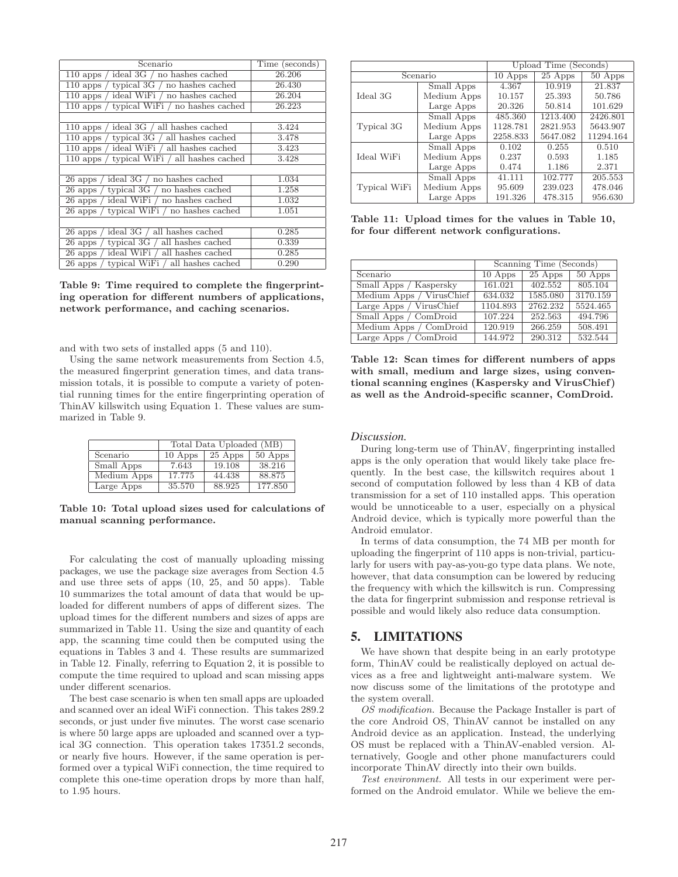| Scenario                                                           | Time (seconds) |
|--------------------------------------------------------------------|----------------|
| 110 apps / ideal 3G / no hashes cached                             | 26.206         |
| 110 apps / typical 3G / no hashes cached                           | 26.430         |
| 110 apps / ideal WiFi / no hashes cached                           | 26.204         |
| 110 apps / typical WiFi / no hashes cached                         | 26.223         |
|                                                                    |                |
| 110 apps $\frac{7 \text{ ideal } 3G}{2 \text{ all hashes cached}}$ | 3.424          |
| 110 apps / typical $3\overline{G}$ / all hashes cached             | 3.478          |
| 110 apps / ideal WiFi / all hashes cached                          | 3.423          |
| 110 apps / typical WiFi / all hashes cached                        | 3.428          |
|                                                                    |                |
| 26 apps / ideal 3G / no hashes cached                              | 1.034          |
| typical 3G / no hashes cached<br>$26$ apps /                       | 1.258          |
| 26 apps / ideal WiFi / no hashes cached                            | 1.032          |
| 26 apps / typical WiFi / no hashes cached                          | 1.051          |
|                                                                    |                |
| ideal $3\overline{G}$ / all hashes cached<br>$26$ apps /           | 0.285          |
| 26 apps / typical 3G / all hashes cached                           | 0.339          |
| ideal WiFi / all hashes cached<br>$26$ apps /                      | 0.285          |
| $26$ apps / typical WiFi / all hashes cached                       | 0.290          |

**Table 9: Time required to complete the fingerprinting operation for different numbers of applications, network performance, and caching scenarios.**

and with two sets of installed apps (5 and 110).

Using the same network measurements from Section 4.5, the measured fingerprint generation times, and data transmission totals, it is possible to compute a variety of potential running times for the entire fingerprinting operation of ThinAV killswitch using Equation 1. These values are summarized in Table 9.

|             | Total Data Uploaded (MB) |         |         |
|-------------|--------------------------|---------|---------|
| Scenario    | 10 Apps                  | 25 Apps | 50 Apps |
| Small Apps  | 7.643                    | 19.108  | 38.216  |
| Medium Apps | 17.775                   | 44.438  | 88.875  |
| Large Apps  | 35.570                   | 88.925  | 177.850 |

**Table 10: Total upload sizes used for calculations of manual scanning performance.**

For calculating the cost of manually uploading missing packages, we use the package size averages from Section 4.5 and use three sets of apps (10, 25, and 50 apps). Table 10 summarizes the total amount of data that would be uploaded for different numbers of apps of different sizes. The upload times for the different numbers and sizes of apps are summarized in Table 11. Using the size and quantity of each app, the scanning time could then be computed using the equations in Tables 3 and 4. These results are summarized in Table 12. Finally, referring to Equation 2, it is possible to compute the time required to upload and scan missing apps under different scenarios.

The best case scenario is when ten small apps are uploaded and scanned over an ideal WiFi connection. This takes 289.2 seconds, or just under five minutes. The worst case scenario is where 50 large apps are uploaded and scanned over a typical 3G connection. This operation takes 17351.2 seconds, or nearly five hours. However, if the same operation is performed over a typical WiFi connection, the time required to complete this one-time operation drops by more than half, to 1.95 hours.

|              | Upload Time (Seconds) |                      |          |           |
|--------------|-----------------------|----------------------|----------|-----------|
| Scenario     |                       | $\overline{10}$ Apps | 25 Apps  | $50$ Apps |
|              | Small Apps            | 4.367                | 10.919   | 21.837    |
| Ideal 3G     | Medium Apps           | 10.157               | 25.393   | 50.786    |
|              | Large Apps            | 20.326               | 50.814   | 101.629   |
|              | Small Apps            | 485.360              | 1213.400 | 2426.801  |
| Typical 3G   | Medium Apps           | 1128.781             | 2821.953 | 5643.907  |
|              | Large Apps            | 2258.833             | 5647.082 | 11294.164 |
|              | Small Apps            | 0.102                | 0.255    | 0.510     |
| Ideal WiFi   | Medium Apps           | 0.237                | 0.593    | 1.185     |
|              | Large Apps            | 0.474                | 1.186    | 2.371     |
|              | Small Apps            | 41.111               | 102.777  | 205.553   |
| Typical WiFi | Medium Apps           | 95.609               | 239.023  | 478.046   |
|              | Large Apps            | 191.326              | 478.315  | 956.630   |

**Table 11: Upload times for the values in Table 10, for four different network configurations.**

|                          | Scanning Time (Seconds) |          |           |
|--------------------------|-------------------------|----------|-----------|
| Scenario                 | 10 Apps                 | 25 Apps  | $50$ Apps |
| Small Apps / Kaspersky   | 161.021                 | 402.552  | 805.104   |
| Medium Apps / VirusChief | 634.032                 | 1585.080 | 3170.159  |
| Large Apps / VirusChief  | 1104.893                | 2762.232 | 5524.465  |
| Small Apps / ComDroid    | 107.224                 | 252.563  | 494.796   |
| Medium Apps / ComDroid   | 120.919                 | 266.259  | 508.491   |
| Large Apps / ComDroid    | 144.972                 | 290.312  | 532.544   |

**Table 12: Scan times for different numbers of apps with small, medium and large sizes, using conventional scanning engines (Kaspersky and VirusChief) as well as the Android-specific scanner, ComDroid.**

#### *Discussion.*

During long-term use of ThinAV, fingerprinting installed apps is the only operation that would likely take place frequently. In the best case, the killswitch requires about 1 second of computation followed by less than 4 KB of data transmission for a set of 110 installed apps. This operation would be unnoticeable to a user, especially on a physical Android device, which is typically more powerful than the Android emulator.

In terms of data consumption, the 74 MB per month for uploading the fingerprint of 110 apps is non-trivial, particularly for users with pay-as-you-go type data plans. We note, however, that data consumption can be lowered by reducing the frequency with which the killswitch is run. Compressing the data for fingerprint submission and response retrieval is possible and would likely also reduce data consumption.

## 5. LIMITATIONS

We have shown that despite being in an early prototype form, ThinAV could be realistically deployed on actual devices as a free and lightweight anti-malware system. We now discuss some of the limitations of the prototype and the system overall.

OS modification. Because the Package Installer is part of the core Android OS, ThinAV cannot be installed on any Android device as an application. Instead, the underlying OS must be replaced with a ThinAV-enabled version. Alternatively, Google and other phone manufacturers could incorporate ThinAV directly into their own builds.

Test environment. All tests in our experiment were performed on the Android emulator. While we believe the em